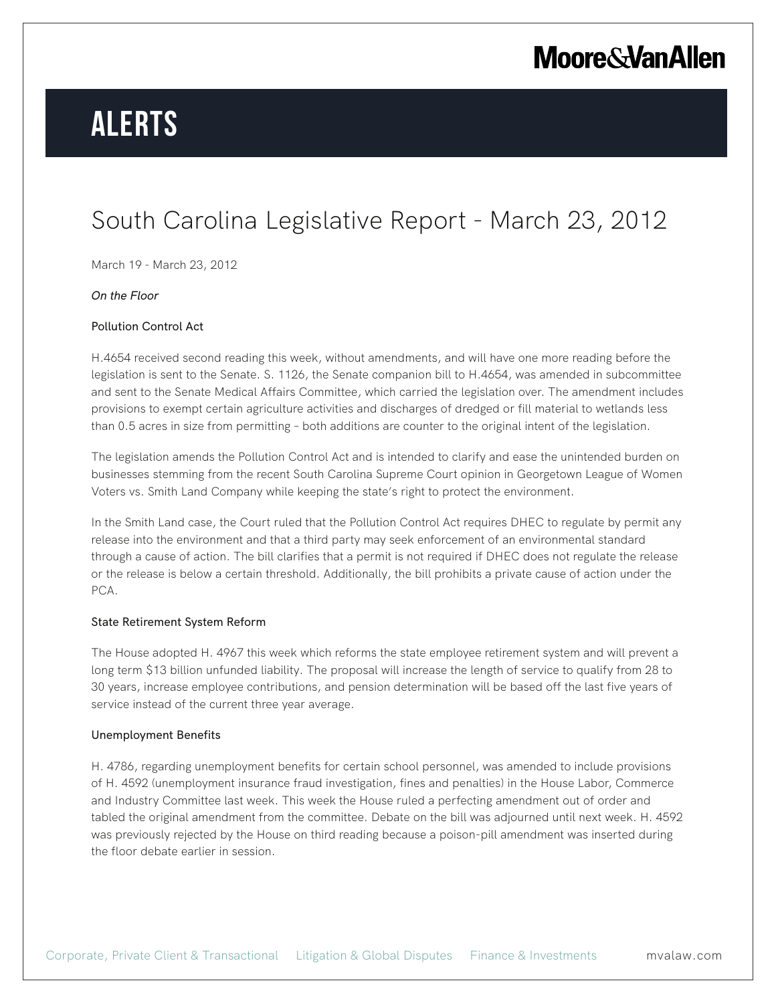## **Moore & Van Allen**

# **Alerts**

### South Carolina Legislative Report - March 23, 2012

March 19 - March 23, 2012

#### *On the Floor*

#### Pollution Control Act

H.4654 received second reading this week, without amendments, and will have one more reading before the legislation is sent to the Senate. S. 1126, the Senate companion bill to H.4654, was amended in subcommittee and sent to the Senate Medical Affairs Committee, which carried the legislation over. The amendment includes provisions to exempt certain agriculture activities and discharges of dredged or fill material to wetlands less than 0.5 acres in size from permitting – both additions are counter to the original intent of the legislation.

The legislation amends the Pollution Control Act and is intended to clarify and ease the unintended burden on businesses stemming from the recent South Carolina Supreme Court opinion in Georgetown League of Women Voters vs. Smith Land Company while keeping the state's right to protect the environment.

In the Smith Land case, the Court ruled that the Pollution Control Act requires DHEC to regulate by permit any release into the environment and that a third party may seek enforcement of an environmental standard through a cause of action. The bill clarifies that a permit is not required if DHEC does not regulate the release or the release is below a certain threshold. Additionally, the bill prohibits a private cause of action under the PCA.

#### State Retirement System Reform

The House adopted H. 4967 this week which reforms the state employee retirement system and will prevent a long term \$13 billion unfunded liability. The proposal will increase the length of service to qualify from 28 to 30 years, increase employee contributions, and pension determination will be based off the last five years of service instead of the current three year average.

#### Unemployment Benefits

H. 4786, regarding unemployment benefits for certain school personnel, was amended to include provisions of H. 4592 (unemployment insurance fraud investigation, fines and penalties) in the House Labor, Commerce and Industry Committee last week. This week the House ruled a perfecting amendment out of order and tabled the original amendment from the committee. Debate on the bill was adjourned until next week. H. 4592 was previously rejected by the House on third reading because a poison-pill amendment was inserted during the floor debate earlier in session.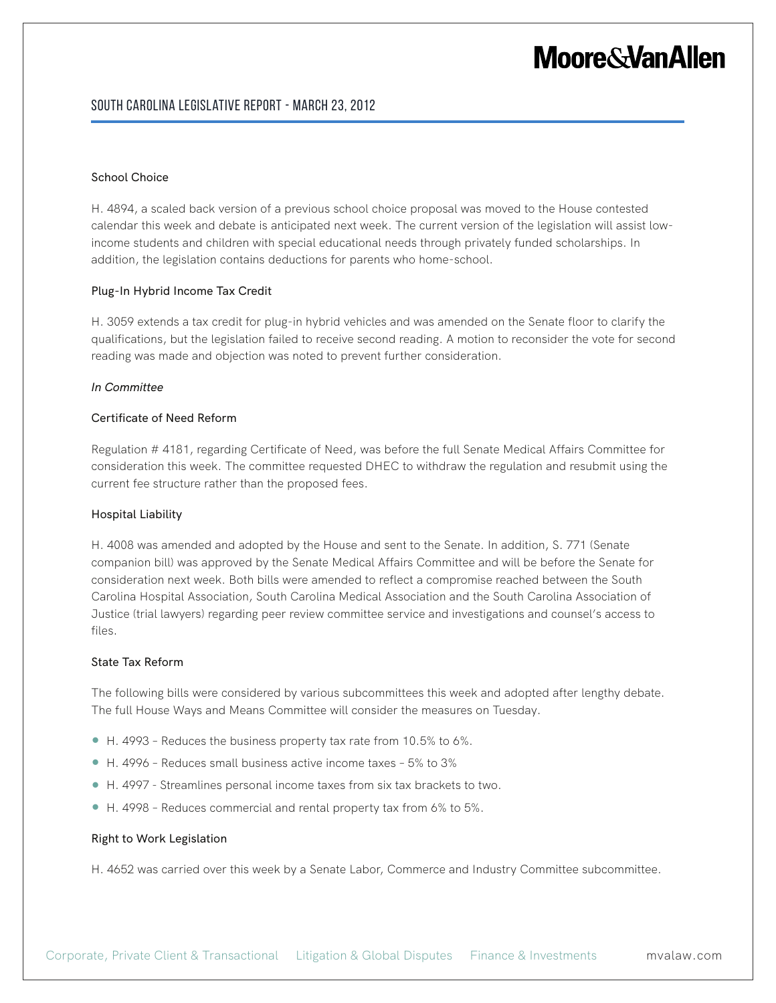### **Moore&VanAllen**

#### South Carolina Legislative Report - March 23, 2012

#### School Choice

H. 4894, a scaled back version of a previous school choice proposal was moved to the House contested calendar this week and debate is anticipated next week. The current version of the legislation will assist lowincome students and children with special educational needs through privately funded scholarships. In addition, the legislation contains deductions for parents who home-school.

#### Plug-In Hybrid Income Tax Credit

H. 3059 extends a tax credit for plug-in hybrid vehicles and was amended on the Senate floor to clarify the qualifications, but the legislation failed to receive second reading. A motion to reconsider the vote for second reading was made and objection was noted to prevent further consideration.

#### *In Committee*

#### Certificate of Need Reform

Regulation # 4181, regarding Certificate of Need, was before the full Senate Medical Affairs Committee for consideration this week. The committee requested DHEC to withdraw the regulation and resubmit using the current fee structure rather than the proposed fees.

#### Hospital Liability

H. 4008 was amended and adopted by the House and sent to the Senate. In addition, S. 771 (Senate companion bill) was approved by the Senate Medical Affairs Committee and will be before the Senate for consideration next week. Both bills were amended to reflect a compromise reached between the South Carolina Hospital Association, South Carolina Medical Association and the South Carolina Association of Justice (trial lawyers) regarding peer review committee service and investigations and counsel's access to files.

#### State Tax Reform

The following bills were considered by various subcommittees this week and adopted after lengthy debate. The full House Ways and Means Committee will consider the measures on Tuesday.

- $\bullet$  H. 4993 Reduces the business property tax rate from 10.5% to 6%.
- H. 4996 Reduces small business active income taxes 5% to 3%
- H. 4997 Streamlines personal income taxes from six tax brackets to two.
- H. 4998 Reduces commercial and rental property tax from 6% to 5%.

#### Right to Work Legislation

H. 4652 was carried over this week by a Senate Labor, Commerce and Industry Committee subcommittee.